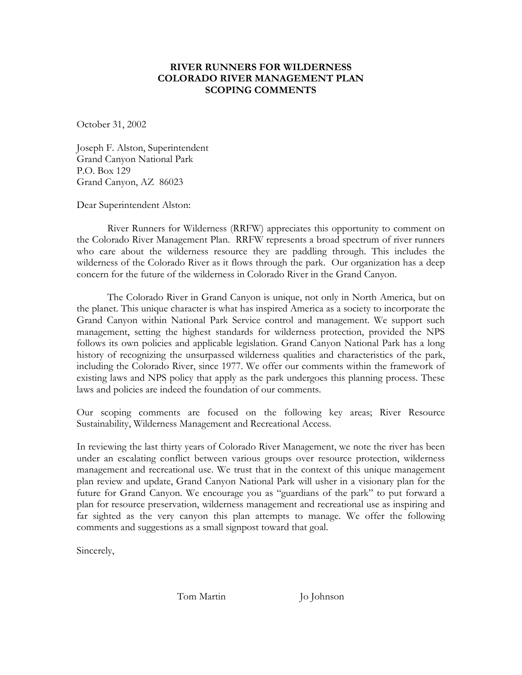#### **RIVER RUNNERS FOR WILDERNESS COLORADO RIVER MANAGEMENT PLAN SCOPING COMMENTS**

October 31, 2002

Joseph F. Alston, Superintendent Grand Canyon National Park P.O. Box 129 Grand Canyon, AZ 86023

Dear Superintendent Alston:

River Runners for Wilderness (RRFW) appreciates this opportunity to comment on the Colorado River Management Plan. RRFW represents a broad spectrum of river runners who care about the wilderness resource they are paddling through. This includes the wilderness of the Colorado River as it flows through the park. Our organization has a deep concern for the future of the wilderness in Colorado River in the Grand Canyon.

The Colorado River in Grand Canyon is unique, not only in North America, but on the planet. This unique character is what has inspired America as a society to incorporate the Grand Canyon within National Park Service control and management. We support such management, setting the highest standards for wilderness protection, provided the NPS follows its own policies and applicable legislation. Grand Canyon National Park has a long history of recognizing the unsurpassed wilderness qualities and characteristics of the park, including the Colorado River, since 1977. We offer our comments within the framework of existing laws and NPS policy that apply as the park undergoes this planning process. These laws and policies are indeed the foundation of our comments.

Our scoping comments are focused on the following key areas; River Resource Sustainability, Wilderness Management and Recreational Access.

In reviewing the last thirty years of Colorado River Management, we note the river has been under an escalating conflict between various groups over resource protection, wilderness management and recreational use. We trust that in the context of this unique management plan review and update, Grand Canyon National Park will usher in a visionary plan for the future for Grand Canyon. We encourage you as "guardians of the park" to put forward a plan for resource preservation, wilderness management and recreational use as inspiring and far sighted as the very canyon this plan attempts to manage. We offer the following comments and suggestions as a small signpost toward that goal.

Sincerely,

Tom Martin Jo Johnson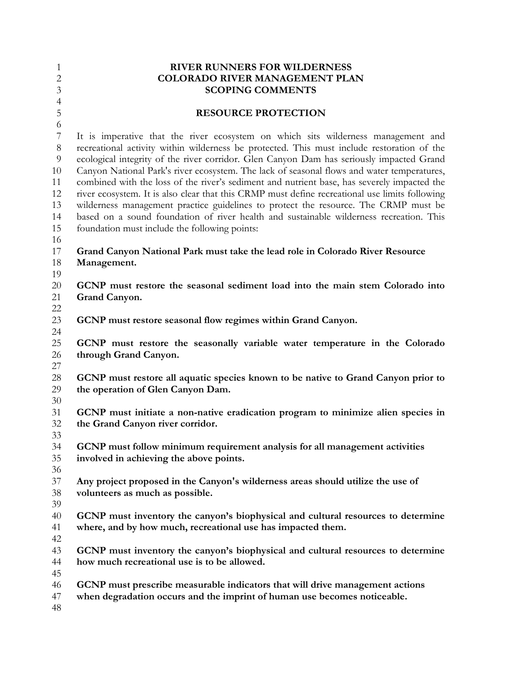| $\mathbf{1}$<br>$\mathbf{2}$<br>3                          | <b>RIVER RUNNERS FOR WILDERNESS</b><br><b>COLORADO RIVER MANAGEMENT PLAN</b><br><b>SCOPING COMMENTS</b>                                                                                                                                                                                                                                                                                                                                                                                                                                                                                                                                                                                                                                                                                                       |
|------------------------------------------------------------|---------------------------------------------------------------------------------------------------------------------------------------------------------------------------------------------------------------------------------------------------------------------------------------------------------------------------------------------------------------------------------------------------------------------------------------------------------------------------------------------------------------------------------------------------------------------------------------------------------------------------------------------------------------------------------------------------------------------------------------------------------------------------------------------------------------|
| $\overline{4}$<br>5                                        | <b>RESOURCE PROTECTION</b>                                                                                                                                                                                                                                                                                                                                                                                                                                                                                                                                                                                                                                                                                                                                                                                    |
| 6<br>7<br>8<br>9<br>10<br>11<br>12<br>13<br>14<br>15<br>16 | It is imperative that the river ecosystem on which sits wilderness management and<br>recreational activity within wilderness be protected. This must include restoration of the<br>ecological integrity of the river corridor. Glen Canyon Dam has seriously impacted Grand<br>Canyon National Park's river ecosystem. The lack of seasonal flows and water temperatures,<br>combined with the loss of the river's sediment and nutrient base, has severely impacted the<br>river ecosystem. It is also clear that this CRMP must define recreational use limits following<br>wilderness management practice guidelines to protect the resource. The CRMP must be<br>based on a sound foundation of river health and sustainable wilderness recreation. This<br>foundation must include the following points: |
| 17<br>18                                                   | Grand Canyon National Park must take the lead role in Colorado River Resource<br>Management.                                                                                                                                                                                                                                                                                                                                                                                                                                                                                                                                                                                                                                                                                                                  |
| 19<br>20<br>21<br>22                                       | GCNP must restore the seasonal sediment load into the main stem Colorado into<br>Grand Canyon.                                                                                                                                                                                                                                                                                                                                                                                                                                                                                                                                                                                                                                                                                                                |
| 23<br>24                                                   | GCNP must restore seasonal flow regimes within Grand Canyon.                                                                                                                                                                                                                                                                                                                                                                                                                                                                                                                                                                                                                                                                                                                                                  |
| 25<br>26<br>27                                             | GCNP must restore the seasonally variable water temperature in the Colorado<br>through Grand Canyon.                                                                                                                                                                                                                                                                                                                                                                                                                                                                                                                                                                                                                                                                                                          |
| 28<br>29<br>30                                             | GCNP must restore all aquatic species known to be native to Grand Canyon prior to<br>the operation of Glen Canyon Dam.                                                                                                                                                                                                                                                                                                                                                                                                                                                                                                                                                                                                                                                                                        |
| 31<br>32<br>33                                             | GCNP must initiate a non-native eradication program to minimize alien species in<br>the Grand Canyon river corridor.                                                                                                                                                                                                                                                                                                                                                                                                                                                                                                                                                                                                                                                                                          |
| 34<br>35<br>36                                             | GCNP must follow minimum requirement analysis for all management activities<br>involved in achieving the above points.                                                                                                                                                                                                                                                                                                                                                                                                                                                                                                                                                                                                                                                                                        |
| 37<br>38<br>39                                             | Any project proposed in the Canyon's wilderness areas should utilize the use of<br>volunteers as much as possible.                                                                                                                                                                                                                                                                                                                                                                                                                                                                                                                                                                                                                                                                                            |
| 40<br>41<br>42                                             | GCNP must inventory the canyon's biophysical and cultural resources to determine<br>where, and by how much, recreational use has impacted them.                                                                                                                                                                                                                                                                                                                                                                                                                                                                                                                                                                                                                                                               |
| 43<br>44<br>45                                             | GCNP must inventory the canyon's biophysical and cultural resources to determine<br>how much recreational use is to be allowed.                                                                                                                                                                                                                                                                                                                                                                                                                                                                                                                                                                                                                                                                               |
| 46<br>47<br>48                                             | GCNP must prescribe measurable indicators that will drive management actions<br>when degradation occurs and the imprint of human use becomes noticeable.                                                                                                                                                                                                                                                                                                                                                                                                                                                                                                                                                                                                                                                      |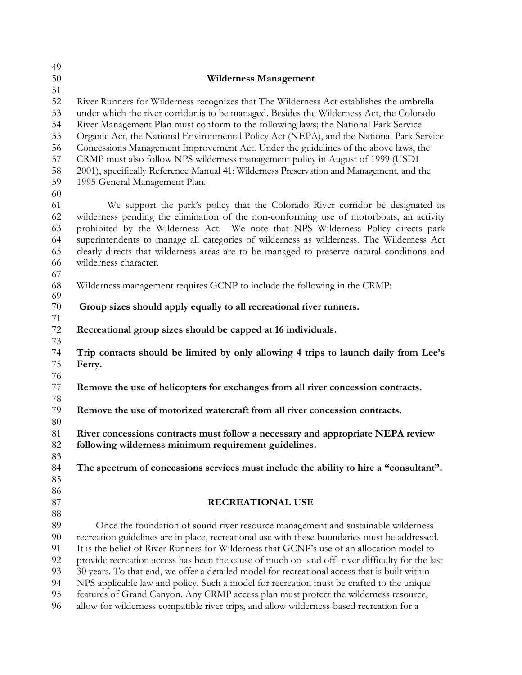| 49       |                                                                                                 |
|----------|-------------------------------------------------------------------------------------------------|
| 50       | <b>Wilderness Management</b>                                                                    |
| 51       |                                                                                                 |
| 52       | River Runners for Wilderness recognizes that The Wilderness Act establishes the umbrella        |
| 53       | under which the river corridor is to be managed. Besides the Wilderness Act, the Colorado       |
| 54       | River Management Plan must conform to the following laws; the National Park Service             |
| 55       | Organic Act, the National Environmental Policy Act (NEPA), and the National Park Service        |
| 56       | Concessions Management Improvement Act. Under the guidelines of the above laws, the             |
| 57       | CRMP must also follow NPS wilderness management policy in August of 1999 (USDI                  |
| 58       | 2001), specifically Reference Manual 41: Wilderness Preservation and Management, and the        |
| 59       | 1995 General Management Plan.                                                                   |
| 60       |                                                                                                 |
| 61       | We support the park's policy that the Colorado River corridor be designated as                  |
| 62       | wilderness pending the elimination of the non-conforming use of motorboats, an activity         |
| 63       | prohibited by the Wilderness Act. We note that NPS Wilderness Policy directs park               |
| 64       | superintendents to manage all categories of wilderness as wilderness. The Wilderness Act        |
| 65       | clearly directs that wilderness areas are to be managed to preserve natural conditions and      |
| 66       | wilderness character.                                                                           |
| 67       |                                                                                                 |
| 68       | Wilderness management requires GCNP to include the following in the CRMP:                       |
| 69       |                                                                                                 |
| 70       | Group sizes should apply equally to all recreational river runners.                             |
| 71       |                                                                                                 |
| $72\,$   | Recreational group sizes should be capped at 16 individuals.                                    |
| 73       |                                                                                                 |
| 74       | Trip contacts should be limited by only allowing 4 trips to launch daily from Lee's             |
| 75       | Ferry.                                                                                          |
| 76       |                                                                                                 |
| 77       | Remove the use of helicopters for exchanges from all river concession contracts.                |
| 78       |                                                                                                 |
| 79       | Remove the use of motorized watercraft from all river concession contracts.                     |
| 80       |                                                                                                 |
| 81       | River concessions contracts must follow a necessary and appropriate NEPA review                 |
| 82       | following wilderness minimum requirement guidelines.                                            |
| 83       |                                                                                                 |
| 84       | The spectrum of concessions services must include the ability to hire a "consultant".           |
| 85       |                                                                                                 |
| 86<br>87 | <b>RECREATIONAL USE</b>                                                                         |
| $88\,$   |                                                                                                 |
| 89       | Once the foundation of sound river resource management and sustainable wilderness               |
| 90       | recreation guidelines are in place, recreational use with these boundaries must be addressed.   |
| 91       | It is the belief of River Runners for Wilderness that GCNP's use of an allocation model to      |
| 92       | provide recreation access has been the cause of much on- and off- river difficulty for the last |
| 93       | 30 years. To that end, we offer a detailed model for recreational access that is built within   |
| 94       | NPS applicable law and policy. Such a model for recreation must be crafted to the unique        |
| 95       | features of Grand Canyon. Any CRMP access plan must protect the wilderness resource,            |
| 96       | allow for wilderness compatible river trips, and allow wilderness-based recreation for a        |
|          |                                                                                                 |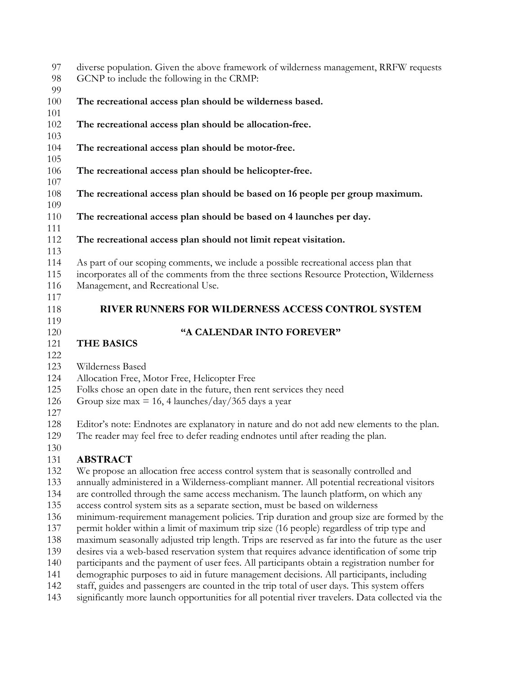| 97<br>98<br>99           | diverse population. Given the above framework of wilderness management, RRFW requests<br>GCNP to include the following in the CRMP:                                                                                   |
|--------------------------|-----------------------------------------------------------------------------------------------------------------------------------------------------------------------------------------------------------------------|
| 100<br>101               | The recreational access plan should be wilderness based.                                                                                                                                                              |
| 102<br>103               | The recreational access plan should be allocation-free.                                                                                                                                                               |
| 104<br>105               | The recreational access plan should be motor-free.                                                                                                                                                                    |
| 106<br>107               | The recreational access plan should be helicopter-free.                                                                                                                                                               |
| 108<br>109               | The recreational access plan should be based on 16 people per group maximum.                                                                                                                                          |
| 110<br>111               | The recreational access plan should be based on 4 launches per day.                                                                                                                                                   |
| 112<br>113               | The recreational access plan should not limit repeat visitation.                                                                                                                                                      |
| 114<br>115<br>116<br>117 | As part of our scoping comments, we include a possible recreational access plan that<br>incorporates all of the comments from the three sections Resource Protection, Wilderness<br>Management, and Recreational Use. |
| 118<br>119               | <b>RIVER RUNNERS FOR WILDERNESS ACCESS CONTROL SYSTEM</b>                                                                                                                                                             |
| 120                      | "A CALENDAR INTO FOREVER"                                                                                                                                                                                             |
| 121                      | <b>THE BASICS</b>                                                                                                                                                                                                     |
| 122                      |                                                                                                                                                                                                                       |
| 123                      | Wilderness Based                                                                                                                                                                                                      |
| 124                      | Allocation Free, Motor Free, Helicopter Free                                                                                                                                                                          |
| 125                      | Folks chose an open date in the future, then rent services they need                                                                                                                                                  |
| 126                      | Group size max = 16, 4 launches/ $\frac{day}{365}$ days a year                                                                                                                                                        |
| 127<br>128               | Editor's note: Endnotes are explanatory in nature and do not add new elements to the plan.                                                                                                                            |
| 129                      | The reader may feel free to defer reading endnotes until after reading the plan.                                                                                                                                      |
| 130                      |                                                                                                                                                                                                                       |
| 131                      | <b>ABSTRACT</b>                                                                                                                                                                                                       |
| 132                      | We propose an allocation free access control system that is seasonally controlled and                                                                                                                                 |
| 133                      | annually administered in a Wilderness-compliant manner. All potential recreational visitors                                                                                                                           |
| 134                      | are controlled through the same access mechanism. The launch platform, on which any                                                                                                                                   |
| 135                      | access control system sits as a separate section, must be based on wilderness                                                                                                                                         |
| 136                      | minimum-requirement management policies. Trip duration and group size are formed by the                                                                                                                               |
| 137                      | permit holder within a limit of maximum trip size (16 people) regardless of trip type and                                                                                                                             |
| 138<br>139               | maximum seasonally adjusted trip length. Trips are reserved as far into the future as the user                                                                                                                        |
| 140                      | desires via a web-based reservation system that requires advance identification of some trip                                                                                                                          |
| 1/11                     | participants and the payment of user fees. All participants obtain a registration number for<br>corrective our occas to aid in future mencoment decisions. All pertiginants including                                 |

- demographic purposes to aid in future management decisions. All participants, including staff, guides and passengers are counted in the trip total of user days. This system offers
- significantly more launch opportunities for all potential river travelers. Data collected via the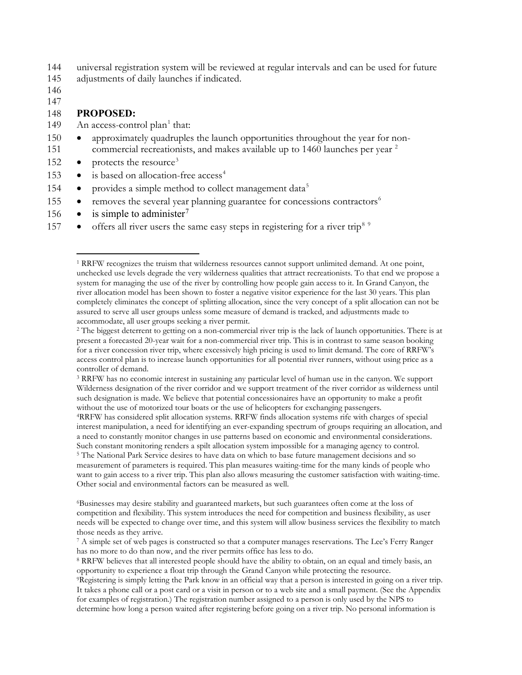144 universal registration system will be reviewed at regular intervals and can be used for future

145 adjustments of daily launches if indicated.

146

147

#### 148 **PROPOSED:**

- [1](#page-4-0)49 An access-control plan<sup>1</sup> that:
- 150 approximately quadruples the launch opportunities throughout the year for noncommercial recreationists, and makes available up to 1460 launches per year <sup>2</sup>
- 152 protects the resource<sup>[3](#page-4-2)</sup>
- 153 is based on allocation-free  $access<sup>4</sup>$  $access<sup>4</sup>$  $access<sup>4</sup>$
- 1[5](#page-4-4)4 provides a simple method to collect management data<sup>5</sup>
- $155$  removes the several year planning guarantee for concessions contractors $<sup>6</sup>$  $<sup>6</sup>$  $<sup>6</sup>$ </sup>
- 156 is simple to administer<sup>[7](#page-4-6)</sup>
- <span id="page-4-0"></span> $\bullet$  offers all river users the same easy steps in registering for a river trip<sup>[8](#page-4-7) [9](#page-4-8)</sup>

<span id="page-4-1"></span><sup>2</sup> The biggest deterrent to getting on a non-commercial river trip is the lack of launch opportunities. There is at present a forecasted 20-year wait for a non-commercial river trip. This is in contrast to same season booking for a river concession river trip, where excessively high pricing is used to limit demand. The core of RRFW's access control plan is to increase launch opportunities for all potential river runners, without using price as a controller of demand.

<span id="page-4-2"></span><sup>3</sup> RRFW has no economic interest in sustaining any particular level of human use in the canyon. We support Wilderness designation of the river corridor and we support treatment of the river corridor as wilderness until such designation is made. We believe that potential concessionaires have an opportunity to make a profit without the use of motorized tour boats or the use of helicopters for exchanging passengers.

<span id="page-4-4"></span><span id="page-4-3"></span>4RRFW has considered split allocation systems. RRFW finds allocation systems rife with charges of special interest manipulation, a need for identifying an ever-expanding spectrum of groups requiring an allocation, and a need to constantly monitor changes in use patterns based on economic and environmental considerations. Such constant monitoring renders a spilt allocation system impossible for a managing agency to control.<br><sup>5</sup> The National Park Service desires to have data on which to base future management decisions and so measurement of parameters is required. This plan measures waiting-time for the many kinds of people who want to gain access to a river trip. This plan also allows measuring the customer satisfaction with waiting-time. Other social and environmental factors can be measured as well.

<span id="page-4-5"></span>6Businesses may desire stability and guaranteed markets, but such guarantees often come at the loss of competition and flexibility. This system introduces the need for competition and business flexibility, as user needs will be expected to change over time, and this system will allow business services the flexibility to match those needs as they arrive.<br><sup>7</sup> A simple set of web pages is constructed so that a computer manages reservations. The Lee's Ferry Ranger

<span id="page-4-7"></span><sup>8</sup> RRFW believes that all interested people should have the ability to obtain, on an equal and timely basis, an opportunity to experience a float trip through the Grand Canyon while protecting the resource.

<span id="page-4-8"></span>9Registering is simply letting the Park know in an official way that a person is interested in going on a river trip. It takes a phone call or a post card or a visit in person or to a web site and a small payment. (See the Appendix for examples of registration.) The registration number assigned to a person is only used by the NPS to determine how long a person waited after registering before going on a river trip. No personal information is

 <sup>1</sup> RRFW recognizes the truism that wilderness resources cannot support unlimited demand. At one point, unchecked use levels degrade the very wilderness qualities that attract recreationists. To that end we propose a system for managing the use of the river by controlling how people gain access to it. In Grand Canyon, the river allocation model has been shown to foster a negative visitor experience for the last 30 years. This plan completely eliminates the concept of splitting allocation, since the very concept of a split allocation can not be assured to serve all user groups unless some measure of demand is tracked, and adjustments made to accommodate, all user groups seeking a river permit.

<span id="page-4-6"></span>has no more to do than now, and the river permits office has less to do.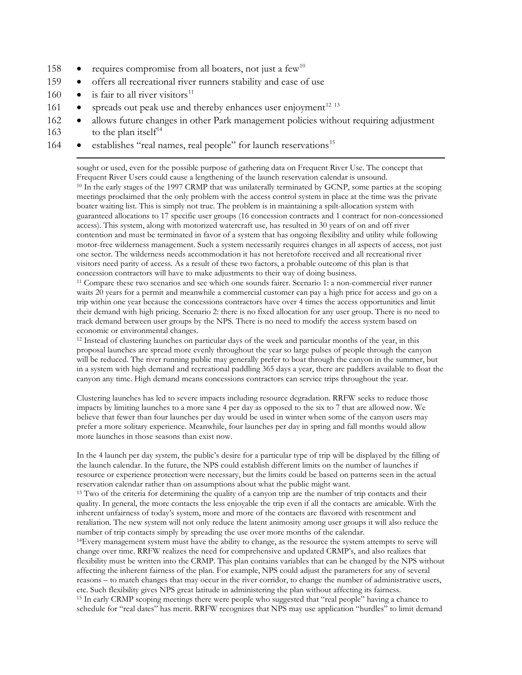- 158 requires compromise from all boaters, not just a few<sup>[10](#page-5-0)</sup>
- 159 offers all recreational river runners stability and ease of use
- 160 is fair to all river visitors<sup>[11](#page-5-1)</sup>
- $161$  spreads out peak use and thereby enhances user enjoyment<sup>[12](#page-5-2) [13](#page-5-3)</sup>
- 162 allows future changes in other Park management policies without requiring adjustment
- $163$  to the plan itself<sup>[14](#page-5-4)</sup>
- <span id="page-5-0"></span>**•** establishes "real names, real people" for launch reservations<sup>[15](#page-5-5)</sup>

 sought or used, even for the possible purpose of gathering data on Frequent River Use. The concept that Frequent River Users could cause a lengthening of the launch reservation calendar is unsound.<br><sup>10</sup> In the early stages of the 1997 CRMP that was unilaterally terminated by GCNP, some parties at the scoping meetings proclaimed that the only problem with the access control system in place at the time was the private boater waiting list. This is simply not true. The problem is in maintaining a spilt-allocation system with guaranteed allocations to 17 specific user groups (16 concession contracts and 1 contract for non-concessioned access). This system, along with motorized watercraft use, has resulted in 30 years of on and off river contention and must be terminated in favor of a system that has ongoing flexibility and utility while following motor-free wilderness management. Such a system necessarily requires changes in all aspects of access, not just one sector. The wilderness needs accommodation it has not heretofore received and all recreational river visitors need parity of access. As a result of these two factors, a probable outcome of this plan is that concession contractors will have to make adjustments to their way of doing business.

<span id="page-5-1"></span><sup>11</sup> Compare these two scenarios and see which one sounds fairer. Scenario 1: a non-commercial river runner waits 20 years for a permit and meanwhile a commercial customer can pay a high price for access and go on a trip within one year because the concessions contractors have over 4 times the access opportunities and limit their demand with high pricing. Scenario 2: there is no fixed allocation for any user group. There is no need to track demand between user groups by the NPS. There is no need to modify the access system based on economic or environmental changes.

<span id="page-5-2"></span><sup>12</sup> Instead of clustering launches on particular days of the week and particular months of the year, in this proposal launches are spread more evenly throughout the year so large pulses of people through the canyon will be reduced. The river running public may generally prefer to boat through the canyon in the summer, but in a system with high demand and recreational paddling 365 days a year, there are paddlers available to float the canyon any time. High demand means concessions contractors can service trips throughout the year.

Clustering launches has led to severe impacts including resource degradation. RRFW seeks to reduce those impacts by limiting launches to a more sane 4 per day as opposed to the six to 7 that are allowed now. We believe that fewer than four launches per day would be used in winter when some of the canyon users may prefer a more solitary experience. Meanwhile, four launches per day in spring and fall months would allow more launches in those seasons than exist now.

In the 4 launch per day system, the public's desire for a particular type of trip will be displayed by the filling of the launch calendar. In the future, the NPS could establish different limits on the number of launches if resource or experience protection were necessary, but the limits could be based on patterns seen in the actual reservation calendar rather than on assumptions about what the public might want.

<span id="page-5-3"></span><sup>13</sup> Two of the criteria for determining the quality of a canyon trip are the number of trip contacts and their quality. In general, the more contacts the less enjoyable the trip even if all the contacts are amicable. With the inherent unfairness of today's system, more and more of the contacts are flavored with resentment and retaliation. The new system will not only reduce the latent animosity among user groups it will also reduce the number of trip contacts simply by spreading the use over more months of the calendar.

<span id="page-5-5"></span><span id="page-5-4"></span>14Every management system must have the ability to change, as the resource the system attempts to serve will change over time. RRFW realizes the need for comprehensive and updated CRMP's, and also realizes that flexibility must be written into the CRMP. This plan contains variables that can be changed by the NPS without affecting the inherent fairness of the plan. For example, NPS could adjust the parameters for any of several reasons – to match changes that may occur in the river corridor, to change the number of administrative users, etc. Such flexibility gives NPS great latitude in administering the plan without affecting its fairness. <sup>15</sup> In early CRMP scoping meetings there were people who suggested that "real people" having a chance to schedule for "real dates" has merit. RRFW recognizes that NPS may use application "hurdles" to limit demand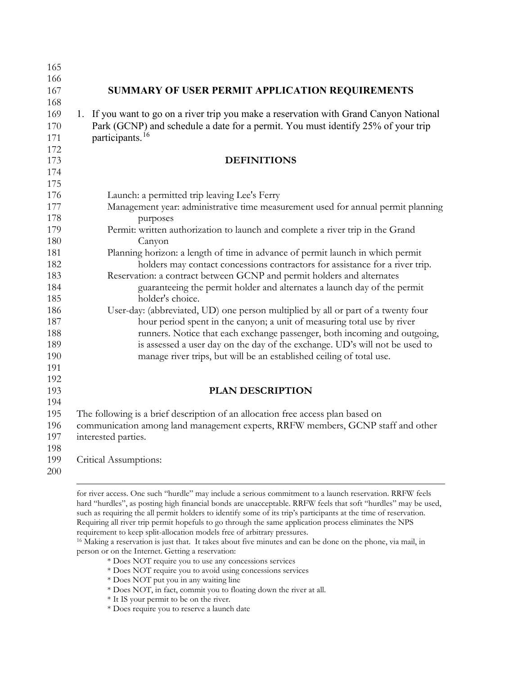| 165        |                                                                                                                                                     |
|------------|-----------------------------------------------------------------------------------------------------------------------------------------------------|
| 166        |                                                                                                                                                     |
| 167        | SUMMARY OF USER PERMIT APPLICATION REQUIREMENTS                                                                                                     |
| 168        |                                                                                                                                                     |
| 169        | 1. If you want to go on a river trip you make a reservation with Grand Canyon National                                                              |
| 170        | Park (GCNP) and schedule a date for a permit. You must identify 25% of your trip                                                                    |
| 171        | participants. <sup>16</sup>                                                                                                                         |
| 172        |                                                                                                                                                     |
| 173        | <b>DEFINITIONS</b>                                                                                                                                  |
| 174        |                                                                                                                                                     |
| 175        |                                                                                                                                                     |
| 176        | Launch: a permitted trip leaving Lee's Ferry                                                                                                        |
| 177        | Management year: administrative time measurement used for annual permit planning                                                                    |
| 178        | purposes                                                                                                                                            |
| 179        | Permit: written authorization to launch and complete a river trip in the Grand                                                                      |
| 180        | Canyon                                                                                                                                              |
| 181        | Planning horizon: a length of time in advance of permit launch in which permit                                                                      |
| 182        | holders may contact concessions contractors for assistance for a river trip.                                                                        |
| 183        | Reservation: a contract between GCNP and permit holders and alternates                                                                              |
| 184        | guaranteeing the permit holder and alternates a launch day of the permit                                                                            |
| 185        | holder's choice.                                                                                                                                    |
| 186        | User-day: (abbreviated, UD) one person multiplied by all or part of a twenty four                                                                   |
| 187        | hour period spent in the canyon; a unit of measuring total use by river                                                                             |
| 188        | runners. Notice that each exchange passenger, both incoming and outgoing,                                                                           |
| 189<br>190 | is assessed a user day on the day of the exchange. UD's will not be used to<br>manage river trips, but will be an established ceiling of total use. |
| 191        |                                                                                                                                                     |
| 192        |                                                                                                                                                     |
| 193        | PLAN DESCRIPTION                                                                                                                                    |
| 194        |                                                                                                                                                     |
| 195        | The following is a brief description of an allocation free access plan based on                                                                     |
| 196        | communication among land management experts, RRFW members, GCNP staff and other                                                                     |
| 197        | interested parties.                                                                                                                                 |
| 198        |                                                                                                                                                     |
| 199        | Critical Assumptions:                                                                                                                               |
| 200        |                                                                                                                                                     |
|            |                                                                                                                                                     |

 for river access. One such "hurdle" may include a serious commitment to a launch reservation. RRFW feels hard "hurdles", as posting high financial bonds are unacceptable. RRFW feels that soft "hurdles" may be used, such as requiring the all permit holders to identify some of its trip's participants at the time of reservation. Requiring all river trip permit hopefuls to go through the same application process eliminates the NPS requirement to keep split-allocation models free of arbitrary pressures.

<span id="page-6-0"></span> Making a reservation is just that. It takes about five minutes and can be done on the phone, via mail, in person or on the Internet. Getting a reservation:

\* Does NOT require you to use any concessions services

\* Does NOT require you to avoid using concessions services

\* Does NOT put you in any waiting line

\* Does NOT, in fact, commit you to floating down the river at all.

\* It IS your permit to be on the river.

\* Does require you to reserve a launch date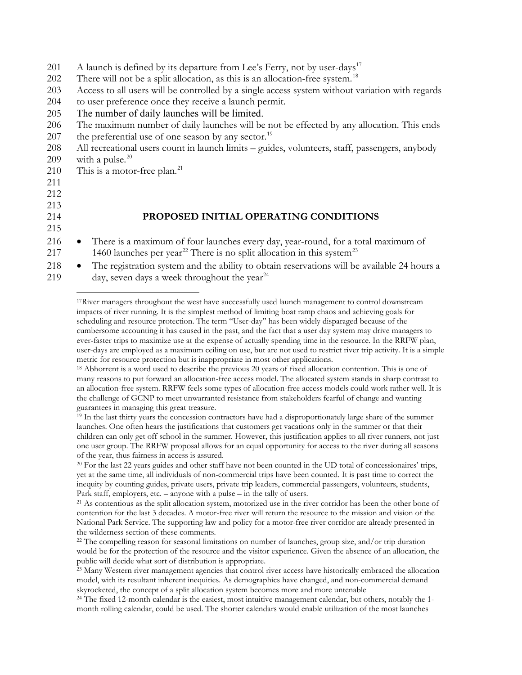- 201 A launch is defined by its departure from Lee's Ferry, not by user-days<sup>[17](#page-7-0)</sup>
- 202 There will not be a split allocation, as this is an allocation-free system.<sup>[18](#page-7-1)</sup>
- 203 Access to all users will be controlled by a single access system without variation with regards
- 204 to user preference once they receive a launch permit.
- 205 The number of daily launches will be limited.
- 206 The maximum number of daily launches will be not be effected by any allocation. This ends 207 the preferential use of one season by any sector.<sup>[19](#page-7-2)</sup>
- 208 All recreational users count in launch limits guides, volunteers, staff, passengers, anybody [20](#page-7-3)9 with a pulse.<sup>20</sup>
- [21](#page-7-4)0 This is a motor-free plan.<sup>21</sup>
- 211
- 212
- 213
- 215

#### 214 **PROPOSED INITIAL OPERATING CONDITIONS**

- 216 There is a maximum of four launches every day, year-round, for a total maximum of 217 1460 launches per year<sup>[22](#page-7-5)</sup> There is no split allocation in this system<sup>[23](#page-7-6)</sup>
- <span id="page-7-0"></span>218 • The registration system and the ability to obtain reservations will be available 24 hours a 219 day, seven days a week throughout the year<sup>[24](#page-7-7)</sup>

 $17$ River managers throughout the west have successfully used launch management to control downstream impacts of river running. It is the simplest method of limiting boat ramp chaos and achieving goals for scheduling and resource protection. The term "User-day" has been widely disparaged because of the cumbersome accounting it has caused in the past, and the fact that a user day system may drive managers to ever-faster trips to maximize use at the expense of actually spending time in the resource. In the RRFW plan, user-days are employed as a maximum ceiling on use, but are not used to restrict river trip activity. It is a simple metric for resource protection but is inappropriate in most other applications. 18 Abhorrent is a word used to describe the previous 20 years of fixed allocation contention. This is one of

<span id="page-7-1"></span>many reasons to put forward an allocation-free access model. The allocated system stands in sharp contrast to an allocation-free system. RRFW feels some types of allocation-free access models could work rather well. It is the challenge of GCNP to meet unwarranted resistance from stakeholders fearful of change and wanting guarantees in managing this great treasure.

<span id="page-7-2"></span><sup>19</sup> In the last thirty years the concession contractors have had a disproportionately large share of the summer launches. One often hears the justifications that customers get vacations only in the summer or that their children can only get off school in the summer. However, this justification applies to all river runners, not just one user group. The RRFW proposal allows for an equal opportunity for access to the river during all seasons of the year, thus fairness in access is assured.

<span id="page-7-3"></span> $^{20}$  For the last 22 years guides and other staff have not been counted in the UD total of concessionaires' trips, yet at the same time, all individuals of non-commercial trips have been counted. It is past time to correct the inequity by counting guides, private users, private trip leaders, commercial passengers, volunteers, students, Park staff, employers, etc. – anyone with a pulse – in the tally of users.

<span id="page-7-4"></span><sup>21</sup> As contentious as the split allocation system, motorized use in the river corridor has been the other bone of contention for the last 3 decades. A motor-free river will return the resource to the mission and vision of the National Park Service. The supporting law and policy for a motor-free river corridor are already presented in the wilderness section of these comments.

<span id="page-7-5"></span> $^{22}$  The compelling reason for seasonal limitations on number of launches, group size, and/or trip duration would be for the protection of the resource and the visitor experience. Given the absence of an allocation, the public will decide what sort of distribution is appropriate.

<span id="page-7-6"></span><sup>23</sup> Many Western river management agencies that control river access have historically embraced the allocation model, with its resultant inherent inequities. As demographics have changed, and non-commercial demand skyrocketed, the concept of a split allocation system becomes more and more untenable

<span id="page-7-7"></span><sup>24</sup> The fixed 12-month calendar is the easiest, most intuitive management calendar, but others, notably the 1month rolling calendar, could be used. The shorter calendars would enable utilization of the most launches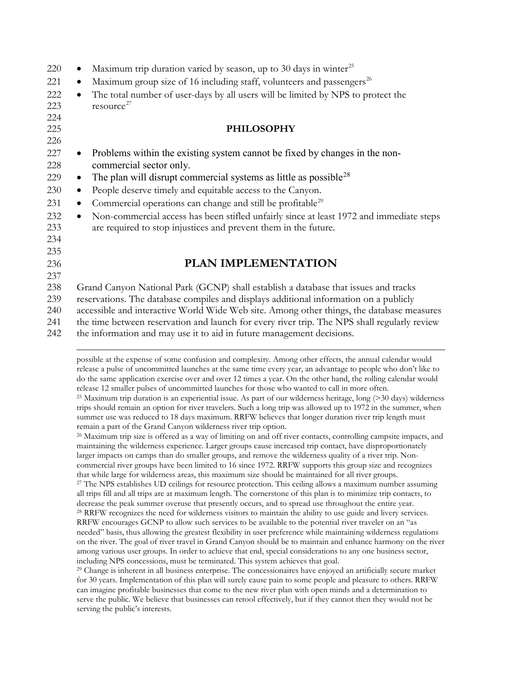| 220                      | Maximum trip duration varied by season, up to 30 days in winter <sup>25</sup>                                                                                           |
|--------------------------|-------------------------------------------------------------------------------------------------------------------------------------------------------------------------|
| 221                      | Maximum group size of 16 including staff, volunteers and passengers <sup>26</sup><br>$\bullet$                                                                          |
| 222<br>223<br>224        | The total number of user-days by all users will be limited by NPS to protect the<br>$\bullet$<br>resource <sup>27</sup>                                                 |
| 225<br>226               | <b>PHILOSOPHY</b>                                                                                                                                                       |
| 227<br>228               | Problems within the existing system cannot be fixed by changes in the non-<br>$\bullet$<br>commercial sector only.                                                      |
| 229                      | The plan will disrupt commercial systems as little as possible <sup>28</sup><br>$\bullet$                                                                               |
| 230                      | People deserve timely and equitable access to the Canyon.<br>$\bullet$                                                                                                  |
| 231                      | Commercial operations can change and still be profitable <sup>29</sup><br>$\bullet$                                                                                     |
| 232<br>233<br>234<br>235 | Non-commercial access has been stifled unfairly since at least 1972 and immediate steps<br>$\bullet$<br>are required to stop injustices and prevent them in the future. |
| 236                      | <b>PLAN IMPLEMENTATION</b>                                                                                                                                              |
| 237                      |                                                                                                                                                                         |
| 238                      | Grand Canyon National Park (GCNP) shall establish a database that issues and tracks                                                                                     |
| 239                      | reservations. The database compiles and displays additional information on a publicly                                                                                   |
| 240                      | accessible and interactive World Wide Web site. Among other things, the database measures                                                                               |
| 241                      | the time between reservation and launch for every river trip. The NPS shall regularly review                                                                            |

<span id="page-8-0"></span>242 the information and may use it to aid in future management decisions.

<span id="page-8-2"></span><span id="page-8-1"></span><sup>26</sup> Maximum trip size is offered as a way of limiting on and off river contacts, controlling campsite impacts, and maintaining the wilderness experience. Larger groups cause increased trip contact, have disproportionately larger impacts on camps than do smaller groups, and remove the wilderness quality of a river trip. Noncommercial river groups have been limited to 16 since 1972. RRFW supports this group size and recognizes that while large for wilderness areas, this maximum size should be maintained for all river groups. <sup>27</sup> The NPS establishes UD ceilings for resource protection. This ceiling allows a maximum number assuming all trips fill and all trips are at maximum length. The cornerstone of this plan is to minimize trip contacts, to decrease the peak summer overuse that presently occurs, and to spread use throughout the entire year. <sup>28</sup> RRFW recognizes the need for wilderness visitors to maintain the ability to use guide and livery services. RRFW encourages GCNP to allow such services to be available to the potential river traveler on an "as needed" basis, thus allowing the greatest flexibility in user preference while maintaining wilderness regulations on the river. The goal of river travel in Grand Canyon should be to maintain and enhance harmony on the river among various user groups. In order to achieve that end, special considerations to any one business sector, including NPS concessions, must be terminated. This system achieves that goal.

<span id="page-8-4"></span><span id="page-8-3"></span> $29$  Change is inherent in all business enterprise. The concessionaires have enjoyed an artificially secure market for 30 years. Implementation of this plan will surely cause pain to some people and pleasure to others. RRFW can imagine profitable businesses that come to the new river plan with open minds and a determination to serve the public. We believe that businesses can retool effectively, but if they cannot then they would not be serving the public's interests.

possible at the expense of some confusion and complexity. Among other effects, the annual calendar would release a pulse of uncommitted launches at the same time every year, an advantage to people who don't like to do the same application exercise over and over 12 times a year. On the other hand, the rolling calendar would release 12 smaller pulses of uncommitted launches for those who wanted to call in more often. <sup>25</sup> Maximum trip duration is an experiential issue. As part of our wilderness heritage, long  $($ >30 days) wilderness trips should remain an option for river travelers. Such a long trip was allowed up to 1972 in the summer, when summer use was reduced to 18 days maximum. RRFW believes that longer duration river trip length must remain a part of the Grand Canyon wilderness river trip option.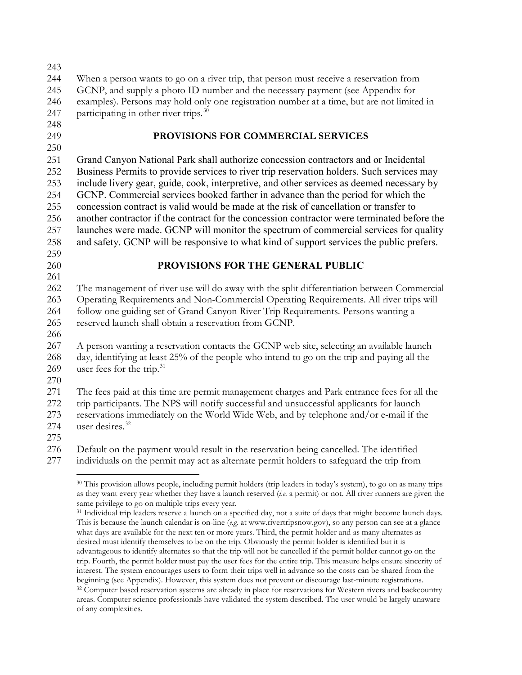When a person wants to go on a river trip, that person must receive a reservation from GCNP, and supply a photo ID number and the necessary payment (see Appendix for examples). Persons may hold only one registration number at a time, but are not limited in 247 participating in other river trips.<sup>[30](#page-9-0)</sup> **PROVISIONS FOR COMMERCIAL SERVICES**  Grand Canyon National Park shall authorize concession contractors and or Incidental Business Permits to provide services to river trip reservation holders. Such services may include livery gear, guide, cook, interpretive, and other services as deemed necessary by GCNP. Commercial services booked farther in advance than the period for which the concession contract is valid would be made at the risk of cancellation or transfer to another contractor if the contract for the concession contractor were terminated before the launches were made. GCNP will monitor the spectrum of commercial services for quality and safety. GCNP will be responsive to what kind of support services the public prefers. **PROVISIONS FOR THE GENERAL PUBLIC** The management of river use will do away with the split differentiation between Commercial Operating Requirements and Non-Commercial Operating Requirements. All river trips will follow one guiding set of Grand Canyon River Trip Requirements. Persons wanting a reserved launch shall obtain a reservation from GCNP. A person wanting a reservation contacts the GCNP web site, selecting an available launch day, identifying at least 25% of the people who intend to go on the trip and paying all the 269 user fees for the trip.<sup>[31](#page-9-1)</sup> The fees paid at this time are permit management charges and Park entrance fees for all the trip participants. The NPS will notify successful and unsuccessful applicants for launch reservations immediately on the World Wide Web, and by telephone and/or e-mail if the 274 user desires. Default on the payment would result in the reservation being cancelled. The identified individuals on the permit may act as alternate permit holders to safeguard the trip from

<span id="page-9-0"></span> This provision allows people, including permit holders (trip leaders in today's system), to go on as many trips as they want every year whether they have a launch reserved (*i.e.* a permit) or not. All river runners are given the same privilege to go on multiple trips every year.

<span id="page-9-1"></span><sup>&</sup>lt;sup>31</sup> Individual trip leaders reserve a launch on a specified day, not a suite of days that might become launch days. This is because the launch calendar is on-line (*e.g.* at www.rivertripsnow.gov), so any person can see at a glance what days are available for the next ten or more years. Third, the permit holder and as many alternates as desired must identify themselves to be on the trip. Obviously the permit holder is identified but it is advantageous to identify alternates so that the trip will not be cancelled if the permit holder cannot go on the trip. Fourth, the permit holder must pay the user fees for the entire trip. This measure helps ensure sincerity of interest. The system encourages users to form their trips well in advance so the costs can be shared from the beginning (see Appendix). However, this system does not prevent or discourage last-minute registrations. <sup>32</sup> Computer based reservation systems are already in place for reservations for Western rivers and backcountry

<span id="page-9-2"></span>areas. Computer science professionals have validated the system described. The user would be largely unaware of any complexities.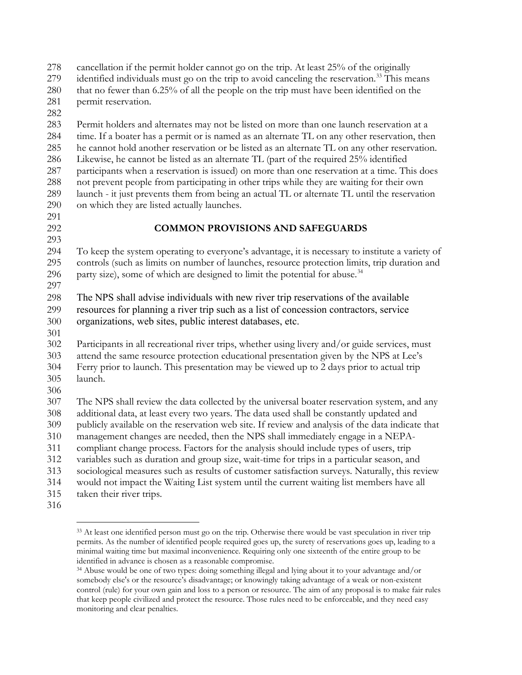cancellation if the permit holder cannot go on the trip. At least 25% of the originally

- identified individuals must go on the trip to avoid canceling the reservation.<sup>33</sup> This means
- that no fewer than 6.25% of all the people on the trip must have been identified on the permit reservation.
- 

 Permit holders and alternates may not be listed on more than one launch reservation at a time. If a boater has a permit or is named as an alternate TL on any other reservation, then he cannot hold another reservation or be listed as an alternate TL on any other reservation. Likewise, he cannot be listed as an alternate TL (part of the required 25% identified participants when a reservation is issued) on more than one reservation at a time. This does not prevent people from participating in other trips while they are waiting for their own launch - it just prevents them from being an actual TL or alternate TL until the reservation on which they are listed actually launches.

### **COMMON PROVISIONS AND SAFEGUARDS**

 To keep the system operating to everyone's advantage, it is necessary to institute a variety of controls (such as limits on number of launches, resource protection limits, trip duration and 296 party size), some of which are designed to limit the potential for abuse.<sup>[34](#page-10-1)</sup> 

 The NPS shall advise individuals with new river trip reservations of the available resources for planning a river trip such as a list of concession contractors, service organizations, web sites, public interest databases, etc.

 Participants in all recreational river trips, whether using livery and/or guide services, must attend the same resource protection educational presentation given by the NPS at Lee's Ferry prior to launch. This presentation may be viewed up to 2 days prior to actual trip launch.

 The NPS shall review the data collected by the universal boater reservation system, and any additional data, at least every two years. The data used shall be constantly updated and publicly available on the reservation web site. If review and analysis of the data indicate that management changes are needed, then the NPS shall immediately engage in a NEPA- compliant change process. Factors for the analysis should include types of users, trip variables such as duration and group size, wait-time for trips in a particular season, and

- sociological measures such as results of customer satisfaction surveys. Naturally, this review
- would not impact the Waiting List system until the current waiting list members have all
- taken their river trips.
- <span id="page-10-0"></span>

<sup>&</sup>lt;sup>33</sup> At least one identified person must go on the trip. Otherwise there would be vast speculation in river trip permits. As the number of identified people required goes up, the surety of reservations goes up, leading to a minimal waiting time but maximal inconvenience. Requiring only one sixteenth of the entire group to be identified in advance is chosen as a reasonable compromise.

<span id="page-10-1"></span> Abuse would be one of two types: doing something illegal and lying about it to your advantage and/or somebody else's or the resource's disadvantage; or knowingly taking advantage of a weak or non-existent control (rule) for your own gain and loss to a person or resource. The aim of any proposal is to make fair rules that keep people civilized and protect the resource. Those rules need to be enforceable, and they need easy monitoring and clear penalties.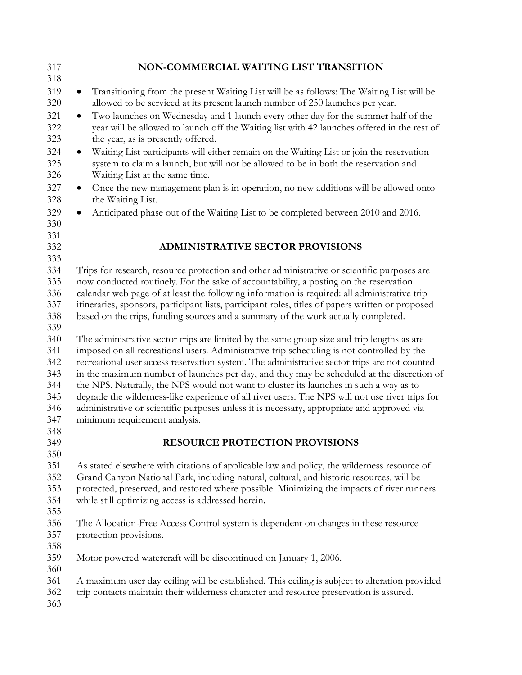| 317<br>318        | NON-COMMERCIAL WAITING LIST TRANSITION                                                                                                                                                                                              |  |  |  |
|-------------------|-------------------------------------------------------------------------------------------------------------------------------------------------------------------------------------------------------------------------------------|--|--|--|
| 319               |                                                                                                                                                                                                                                     |  |  |  |
| 320               | Transitioning from the present Waiting List will be as follows: The Waiting List will be<br>allowed to be serviced at its present launch number of 250 launches per year.                                                           |  |  |  |
| 321<br>322<br>323 | Two launches on Wednesday and 1 launch every other day for the summer half of the<br>$\bullet$<br>year will be allowed to launch off the Waiting list with 42 launches offered in the rest of<br>the year, as is presently offered. |  |  |  |
| 324<br>325<br>326 | Waiting List participants will either remain on the Waiting List or join the reservation<br>$\bullet$<br>system to claim a launch, but will not be allowed to be in both the reservation and<br>Waiting List at the same time.      |  |  |  |
| 327<br>328        | Once the new management plan is in operation, no new additions will be allowed onto<br>$\bullet$<br>the Waiting List.                                                                                                               |  |  |  |
| 329<br>330        | Anticipated phase out of the Waiting List to be completed between 2010 and 2016.<br>$\bullet$                                                                                                                                       |  |  |  |
| 331<br>332        | <b>ADMINISTRATIVE SECTOR PROVISIONS</b>                                                                                                                                                                                             |  |  |  |
| 333               |                                                                                                                                                                                                                                     |  |  |  |
| 334               | Trips for research, resource protection and other administrative or scientific purposes are                                                                                                                                         |  |  |  |
| 335               | now conducted routinely. For the sake of accountability, a posting on the reservation                                                                                                                                               |  |  |  |
| 336               | calendar web page of at least the following information is required: all administrative trip                                                                                                                                        |  |  |  |
| 337               | itineraries, sponsors, participant lists, participant roles, titles of papers written or proposed                                                                                                                                   |  |  |  |
| 338               | based on the trips, funding sources and a summary of the work actually completed.                                                                                                                                                   |  |  |  |
| 339               |                                                                                                                                                                                                                                     |  |  |  |
| 340               | The administrative sector trips are limited by the same group size and trip lengths as are                                                                                                                                          |  |  |  |
| 341               | imposed on all recreational users. Administrative trip scheduling is not controlled by the                                                                                                                                          |  |  |  |
| 342               | recreational user access reservation system. The administrative sector trips are not counted                                                                                                                                        |  |  |  |
| 343               | in the maximum number of launches per day, and they may be scheduled at the discretion of                                                                                                                                           |  |  |  |
| 344               | the NPS. Naturally, the NPS would not want to cluster its launches in such a way as to                                                                                                                                              |  |  |  |
| 345               | degrade the wilderness-like experience of all river users. The NPS will not use river trips for                                                                                                                                     |  |  |  |
| 346               | administrative or scientific purposes unless it is necessary, appropriate and approved via                                                                                                                                          |  |  |  |
| 347               | minimum requirement analysis.                                                                                                                                                                                                       |  |  |  |
| 348               |                                                                                                                                                                                                                                     |  |  |  |
| 349               | RESOURCE PROTECTION PROVISIONS                                                                                                                                                                                                      |  |  |  |
| 350               |                                                                                                                                                                                                                                     |  |  |  |
| 351               | As stated elsewhere with citations of applicable law and policy, the wilderness resource of                                                                                                                                         |  |  |  |
| 352               | Grand Canyon National Park, including natural, cultural, and historic resources, will be                                                                                                                                            |  |  |  |
| 353               | protected, preserved, and restored where possible. Minimizing the impacts of river runners                                                                                                                                          |  |  |  |
| 354               | while still optimizing access is addressed herein.                                                                                                                                                                                  |  |  |  |
| 355               |                                                                                                                                                                                                                                     |  |  |  |
| 356               | The Allocation-Free Access Control system is dependent on changes in these resource                                                                                                                                                 |  |  |  |
| 357               | protection provisions.                                                                                                                                                                                                              |  |  |  |
| 358               |                                                                                                                                                                                                                                     |  |  |  |
| 359               | Motor powered watercraft will be discontinued on January 1, 2006.                                                                                                                                                                   |  |  |  |
| 360               |                                                                                                                                                                                                                                     |  |  |  |
| 361               | A maximum user day ceiling will be established. This ceiling is subject to alteration provided                                                                                                                                      |  |  |  |
| 362               | trip contacts maintain their wilderness character and resource preservation is assured.                                                                                                                                             |  |  |  |
| 363               |                                                                                                                                                                                                                                     |  |  |  |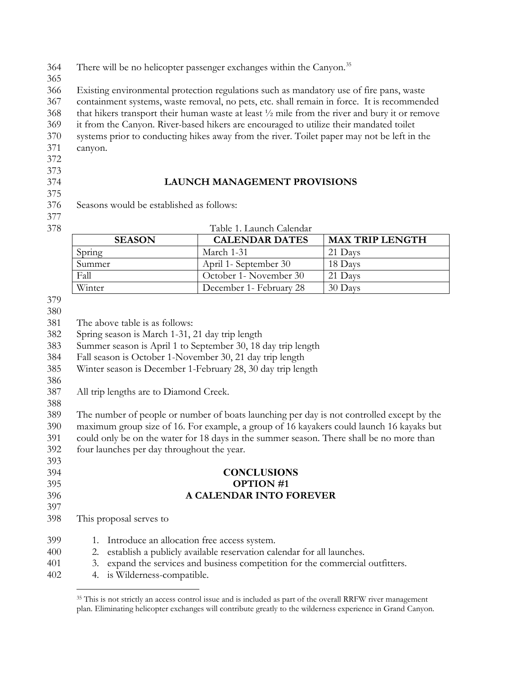364 There will be no helicopter passenger exchanges within the Canyon.<sup>[35](#page-12-0)</sup>

 Existing environmental protection regulations such as mandatory use of fire pans, waste containment systems, waste removal, no pets, etc. shall remain in force. It is recommended that hikers transport their human waste at least ½ mile from the river and bury it or remove

it from the Canyon. River-based hikers are encouraged to utilize their mandated toilet

- systems prior to conducting hikes away from the river. Toilet paper may not be left in the canyon.
- 
- 

# 

## **LAUNCH MANAGEMENT PROVISIONS**

Seasons would be established as follows:

| 378 | Table 1. Launch Calendar |
|-----|--------------------------|
|     |                          |

| <b>SEASON</b> | <b>CALENDAR DATES</b>    | <b>MAX TRIP LENGTH</b> |
|---------------|--------------------------|------------------------|
| Spring        | March 1-31               | 21 Days                |
| Summer        | April 1- September 30    | 18 Days                |
| Fall          | October 1- November 30   | 21 Days                |
| Winter        | December 1 - February 28 | 30 Days                |

The above table is as follows:

Spring season is March 1-31, 21 day trip length

Summer season is April 1 to September 30, 18 day trip length

- Fall season is October 1-November 30, 21 day trip length
- Winter season is December 1-February 28, 30 day trip length
- 

All trip lengths are to Diamond Creek.

 The number of people or number of boats launching per day is not controlled except by the maximum group size of 16. For example, a group of 16 kayakers could launch 16 kayaks but could only be on the water for 18 days in the summer season. There shall be no more than

four launches per day throughout the year.

### **CONCLUSIONS OPTION #1 A CALENDAR INTO FOREVER**

This proposal serves to

| 399  | 1. Introduce an allocation free access system.                                 |
|------|--------------------------------------------------------------------------------|
| 400  | 2. establish a publicly available reservation calendar for all launches.       |
| 401  | 3. expand the services and business competition for the commercial outfitters. |
| 402. | 4. is Wilderness-compatible.                                                   |

<span id="page-12-0"></span><sup>35</sup> This is not strictly an access control issue and is included as part of the overall RRFW river management plan. Eliminating helicopter exchanges will contribute greatly to the wilderness experience in Grand Canyon.